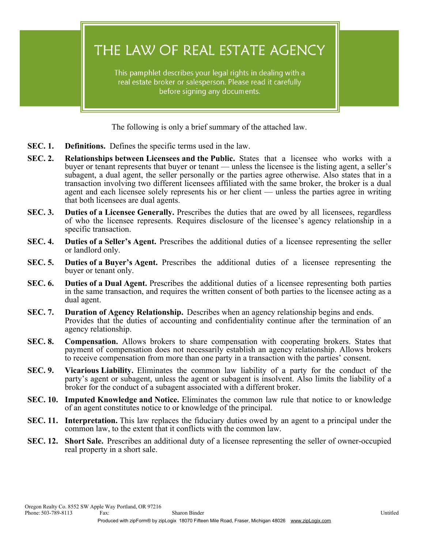THE LAW OF REAL ESTATE AGENCY

This pamphlet describes your legal rights in dealing with a real estate broker or salesperson. Please read it carefully before signing any documents.

The following is only a brief summary of the attached law.

- **SEC. 1. Definitions.** Defines the specific terms used in the law.
- **SEC. 2. Relationships between Licensees and the Public.** States that a licensee who works with a buyer or tenant represents that buyer or tenant — unless the licensee is the listing agent, a seller's subagent, a dual agent, the seller personally or the parties agree otherwise. Also states that in a transaction involving two different licensees affiliated with the same broker, the broker is a dual agent and each licensee solely represents his or her client — unless the parties agree in writing that both licensees are dual agents.
- **SEC. 3. Duties of a Licensee Generally.** Prescribes the duties that are owed by all licensees, regardless of who the licensee represents. Requires disclosure of the licensee's agency relationship in a specific transaction.
- **SEC. 4. Duties of a Seller's Agent.** Prescribes the additional duties of a licensee representing the seller or landlord only.
- **SEC. 5. Duties of a Buyer's Agent.** Prescribes the additional duties of a licensee representing the buyer or tenant only.
- **SEC. 6. Duties of a Dual Agent.** Prescribes the additional duties of a licensee representing both parties in the same transaction, and requires the written consent of both parties to the licensee acting as a dual agent.
- **SEC. 7. Duration of Agency Relationship.** Describes when an agency relationship begins and ends. Provides that the duties of accounting and confidentiality continue after the termination of an agency relationship.
- **SEC. 8. Compensation.** Allows brokers to share compensation with cooperating brokers. States that payment of compensation does not necessarily establish an agency relationship. Allows brokers to receive compensation from more than one party in a transaction with the parties' consent.
- **SEC. 9. Vicarious Liability.** Eliminates the common law liability of a party for the conduct of the party's agent or subagent, unless the agent or subagent is insolvent. Also limits the liability of a broker for the conduct of a subagent associated with a different broker.
- **SEC. 10. Imputed Knowledge and Notice.** Eliminates the common law rule that notice to or knowledge of an agent constitutes notice to or knowledge of the principal.
- **SEC. 11. Interpretation.** This law replaces the fiduciary duties owed by an agent to a principal under the common law, to the extent that it conflicts with the common law.
- **SEC. 12. Short Sale.** Prescribes an additional duty of a licensee representing the seller of owner-occupied real property in a short sale.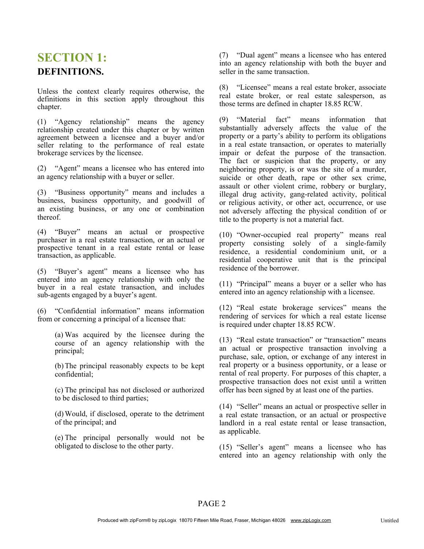### **SECTION 1: DEFINITIONS.**

Unless the context clearly requires otherwise, the definitions in this section apply throughout this chapter.

(1) "Agency relationship" means the agency relationship created under this chapter or by written agreement between a licensee and a buyer and/or seller relating to the performance of real estate brokerage services by the licensee.

(2) "Agent" means a licensee who has entered into an agency relationship with a buyer or seller.

(3) "Business opportunity" means and includes a business, business opportunity, and goodwill of an existing business, or any one or combination thereof.

(4) "Buyer" means an actual or prospective purchaser in a real estate transaction, or an actual or prospective tenant in a real estate rental or lease transaction, as applicable.

(5) "Buyer's agent" means a licensee who has entered into an agency relationship with only the buver in a real estate transaction, and includes sub-agents engaged by a buyer's agent.

(6) "Confidential information" means information from or concerning a principal of a licensee that:

> (a) Was acquired by the licensee during the course of an agency relationship with the principal;

> (b)The principal reasonably expects to be kept confidential;

> (c) The principal has not disclosed or authorized to be disclosed to third parties;

> (d)Would, if disclosed, operate to the detriment of the principal; and

> (e) The principal personally would not be obligated to disclose to the other party.

(7) "Dual agent" means a licensee who has entered into an agency relationship with both the buyer and seller in the same transaction.

(8) "Licensee" means a real estate broker, associate real estate broker, or real estate salesperson, as those terms are defined in chapter 18.85 RCW.

(9) "Material fact" means information that substantially adversely affects the value of the property or a party's ability to perform its obligations in a real estate transaction, or operates to materially impair or defeat the purpose of the transaction. The fact or suspicion that the property, or any neighboring property, is or was the site of a murder, suicide or other death, rape or other sex crime, assault or other violent crime, robbery or burglary, illegal drug activity, gang-related activity, political or religious activity, or other act, occurrence, or use not adversely affecting the physical condition of or title to the property is not a material fact.

(10) "Owner-occupied real property" means real property consisting solely of a single-family residence, a residential condominium unit, or a residential cooperative unit that is the principal residence of the borrower.

(11) "Principal" means a buyer or a seller who has entered into an agency relationship with a licensee.

(12) "Real estate brokerage services" means the rendering of services for which a real estate license is required under chapter 18.85 RCW.

(13) "Real estate transaction" or "transaction" means an actual or prospective transaction involving a purchase, sale, option, or exchange of any interest in real property or a business opportunity, or a lease or rental of real property. For purposes of this chapter, a prospective transaction does not exist until a written offer has been signed by at least one of the parties.

(14) "Seller" means an actual or prospective seller in a real estate transaction, or an actual or prospective landlord in a real estate rental or lease transaction, as applicable.

(15) "Seller's agent" means a licensee who has entered into an agency relationship with only the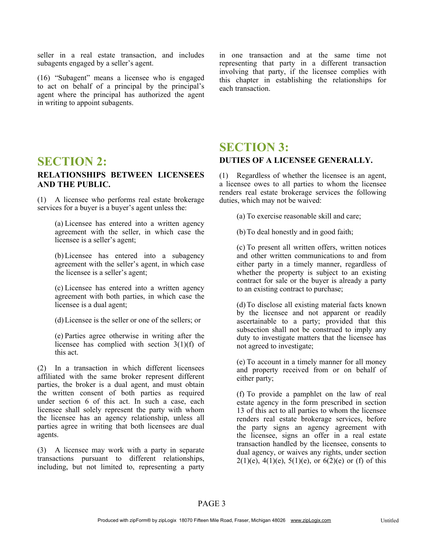seller in a real estate transaction, and includes subagents engaged by a seller's agent.

(16) "Subagent" means a licensee who is engaged to act on behalf of a principal by the principal's agent where the principal has authorized the agent in writing to appoint subagents.

in one transaction and at the same time not representing that party in a different transaction involving that party, if the licensee complies with this chapter in establishing the relationships for each transaction.

### **SECTION 2:**

#### **RELATIONSHIPS BETWEEN LICENSEES AND THE PUBLIC.**

(1) A licensee who performs real estate brokerage services for a buyer is a buyer's agent unless the:

> (a) Licensee has entered into a written agency agreement with the seller, in which case the licensee is a seller's agent;

> (b)Licensee has entered into a subagency agreement with the seller's agent, in which case the licensee is a seller's agent;

> (c) Licensee has entered into a written agency agreement with both parties, in which case the licensee is a dual agent;

(d)Licensee is the seller or one of the sellers; or

(e) Parties agree otherwise in writing after the licensee has complied with section 3(1)(f) of this act.

(2) In a transaction in which different licensees affiliated with the same broker represent different parties, the broker is a dual agent, and must obtain the written consent of both parties as required under section 6 of this act. In such a case, each licensee shall solely represent the party with whom the licensee has an agency relationship, unless all parties agree in writing that both licensees are dual agents.

(3) A licensee may work with a party in separate transactions pursuant to different relationships, including, but not limited to, representing a party

### **SECTION 3: DUTIES OF A LICENSEE GENERALLY.**

(1) Regardless of whether the licensee is an agent, a licensee owes to all parties to whom the licensee renders real estate brokerage services the following duties, which may not be waived:

(a) To exercise reasonable skill and care;

(b)To deal honestly and in good faith;

to an existing contract to purchase; (c) To present all written offers, written notices and other written communications to and from either party in a timely manner, regardless of whether the property is subject to an existing contract for sale or the buyer is already a party

(d)To disclose all existing material facts known by the licensee and not apparent or readily ascertainable to a party; provided that this subsection shall not be construed to imply any duty to investigate matters that the licensee has not agreed to investigate;

(e) To account in a timely manner for all money and property received from or on behalf of either party;

(f) To provide a pamphlet on the law of real estate agency in the form prescribed in section 13 of this act to all parties to whom the licensee renders real estate brokerage services, before the party signs an agency agreement with the licensee, signs an offer in a real estate transaction handled by the licensee, consents to dual agency, or waives any rights, under section  $2(1)(e)$ ,  $4(1)(e)$ ,  $5(1)(e)$ , or  $6(2)(e)$  or (f) of this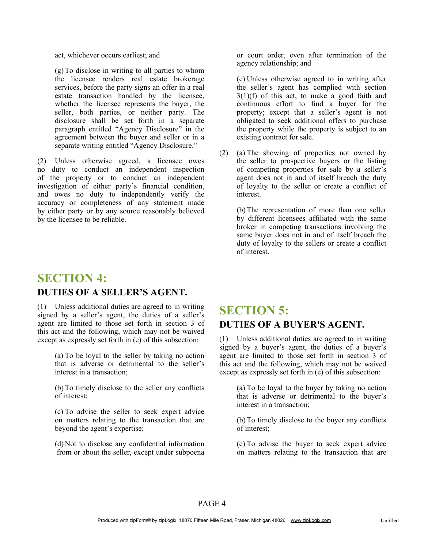act, whichever occurs earliest; and

(g)To disclose in writing to all parties to whom the licensee renders real estate brokerage services, before the party signs an offer in a real estate transaction handled by the licensee, whether the licensee represents the buyer, the seller, both parties, or neither party. The disclosure shall be set forth in a separate paragraph entitled "Agency Disclosure" in the agreement between the buyer and seller or in a separate writing entitled "Agency Disclosure."

(2) Unless otherwise agreed, a licensee owes no duty to conduct an independent inspection of the property or to conduct an independent investigation of either party's financial condition, and owes no duty to independently verify the accuracy or completeness of any statement made by either party or by any source reasonably believed by the licensee to be reliable.

**SECTION 4: DUTIES OF A SELLER'S AGENT.**

# (1) Unless additional duties are agreed to in writing

signed by a seller's agent, the duties of a seller's agent are limited to those set forth in section 3 of this act and the following, which may not be waived except as expressly set forth in (e) of this subsection:

> (a) To be loyal to the seller by taking no action that is adverse or detrimental to the seller's interest in a transaction;

> (b)To timely disclose to the seller any conflicts of interest;

> (c) To advise the seller to seek expert advice on matters relating to the transaction that are beyond the agent's expertise;

> (d)Not to disclose any confidential information from or about the seller, except under subpoena

or court order, even after termination of the agency relationship; and

(e) Unless otherwise agreed to in writing after the seller's agent has complied with section 3(1)(f) of this act, to make a good faith and continuous effort to find a buyer for the property; except that a seller's agent is not obligated to seek additional offers to purchase the property while the property is subject to an existing contract for sale.

(2) (a) The showing of properties not owned by the seller to prospective buyers or the listing of competing properties for sale by a seller's agent does not in and of itself breach the duty of loyalty to the seller or create a conflict of interest.

> duty of loyalty to the sellers or create a conflict of interest. (b)The representation of more than one seller by different licensees affiliated with the same broker in competing transactions involving the same buyer does not in and of itself breach the

### **SECTION 5: DUTIES OF A BUYER'S AGENT.**

(1) Unless additional duties are agreed to in writing signed by a buyer's agent, the duties of a buyer's agent are limited to those set forth in section 3 of this act and the following, which may not be waived except as expressly set forth in (e) of this subsection:

> (a) To be loyal to the buyer by taking no action that is adverse or detrimental to the buyer's interest in a transaction;

> (b)To timely disclose to the buyer any conflicts of interest;

> (c) To advise the buyer to seek expert advice on matters relating to the transaction that are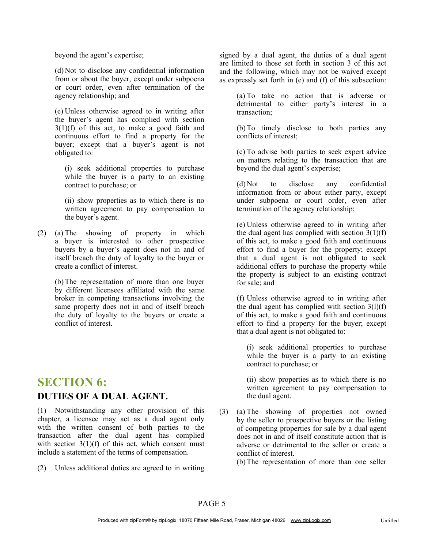beyond the agent's expertise;

or court order, even after termination of the agency relationship; and (d)Not to disclose any confidential information from or about the buyer, except under subpoena

(e) Unless otherwise agreed to in writing after the buyer's agent has complied with section 3(1)(f) of this act, to make a good faith and continuous effort to find a property for the buyer; except that a buyer's agent is not obligated to:

(i) seek additional properties to purchase while the buyer is a party to an existing contract to purchase; or

(ii) show properties as to which there is no written agreement to pay compensation to the buyer's agent.

(2) (a) The showing of property in which a buyer is interested to other prospective buyers by a buyer's agent does not in and of itself breach the duty of loyalty to the buyer or create a conflict of interest.

> (b)The representation of more than one buyer by different licensees affiliated with the same broker in competing transactions involving the same property does not in and of itself breach the duty of loyalty to the buyers or create a conflict of interest.

### **SECTION 6: DUTIES OF A DUAL AGENT.**

(1) Notwithstanding any other provision of this chapter, a licensee may act as a dual agent only with the written consent of both parties to the transaction after the dual agent has complied with section  $3(1)(f)$  of this act, which consent must include a statement of the terms of compensation.

(2) Unless additional duties are agreed to in writing

signed by a dual agent, the duties of a dual agent are limited to those set forth in section 3 of this act and the following, which may not be waived except as expressly set forth in (e) and (f) of this subsection:

> (a) To take no action that is adverse or detrimental to either party's interest in a transaction;

> (b)To timely disclose to both parties any conflicts of interest;

> (c) To advise both parties to seek expert advice on matters relating to the transaction that are beyond the dual agent's expertise;

> under subpoena or court order, even after (d)Not to disclose any confidential information from or about either party, except termination of the agency relationship;

> (e) Unless otherwise agreed to in writing after the dual agent has complied with section  $3(1)(f)$ of this act, to make a good faith and continuous effort to find a buyer for the property; except that a dual agent is not obligated to seek additional offers to purchase the property while the property is subject to an existing contract for sale; and

> (f) Unless otherwise agreed to in writing after the dual agent has complied with section  $3(1)(f)$ of this act, to make a good faith and continuous effort to find a property for the buyer; except that a dual agent is not obligated to:

(i) seek additional properties to purchase while the buyer is a party to an existing contract to purchase; or

(ii) show properties as to which there is no written agreement to pay compensation to the dual agent.

(3) (a) The showing of properties not owned by the seller to prospective buyers or the listing of competing properties for sale by a dual agent does not in and of itself constitute action that is adverse or detrimental to the seller or create a conflict of interest.

(b)The representation of more than one seller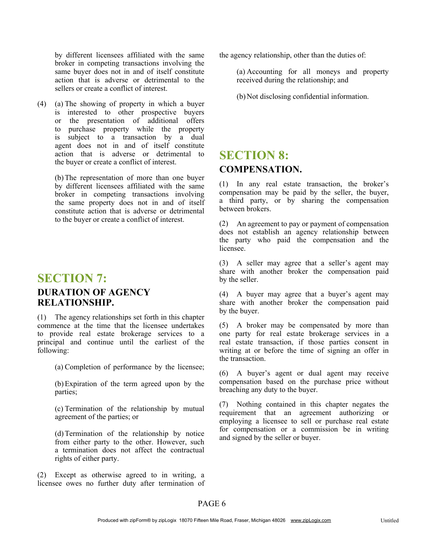action that is adverse or detrimental to the sellers or create a conflict of interest. by different licensees affiliated with the same broker in competing transactions involving the same buyer does not in and of itself constitute

(a) The showing of property in which a buyer (4) is interested to other prospective buyers or the presentation of additional offers to purchase property while the property is subject to a transaction by a dual agent does not in and of itself constitute action that is adverse or detrimental to the buyer or create a conflict of interest.

(b)The representation of more than one buyer by different licensees affiliated with the same broker in competing transactions involving the same property does not in and of itself constitute action that is adverse or detrimental to the buyer or create a conflict of interest.

### **SECTION 7:**

#### **DURATION OF AGENCY RELATIONSHIP.**

(1) The agency relationships set forth in this chapter commence at the time that the licensee undertakes to provide real estate brokerage services to a principal and continue until the earliest of the following:

(a) Completion of performance by the licensee;

(b)Expiration of the term agreed upon by the parties;

(c) Termination of the relationship by mutual agreement of the parties; or

(d)Termination of the relationship by notice from either party to the other. However, such a termination does not affect the contractual rights of either party.

(2) Except as otherwise agreed to in writing, a licensee owes no further duty after termination of the agency relationship, other than the duties of:

(a) Accounting for all moneys and property received during the relationship; and

(b)Not disclosing confidential information.

### **SECTION 8: COMPENSATION.**

(1) In any real estate transaction, the broker's compensation may be paid by the seller, the buyer, a third party, or by sharing the compensation between brokers.

(2) An agreement to pay or payment of compensation does not establish an agency relationship between the party who paid the compensation and the licensee.

(3) A seller may agree that a seller's agent may share with another broker the compensation paid by the seller.

(4) A buyer may agree that a buyer's agent may share with another broker the compensation paid by the buyer.

(5) A broker may be compensated by more than one party for real estate brokerage services in a real estate transaction, if those parties consent in writing at or before the time of signing an offer in the transaction.

(6) A buyer's agent or dual agent may receive compensation based on the purchase price without breaching any duty to the buyer.

(7) Nothing contained in this chapter negates the requirement that an agreement authorizing or employing a licensee to sell or purchase real estate for compensation or a commission be in writing and signed by the seller or buyer.